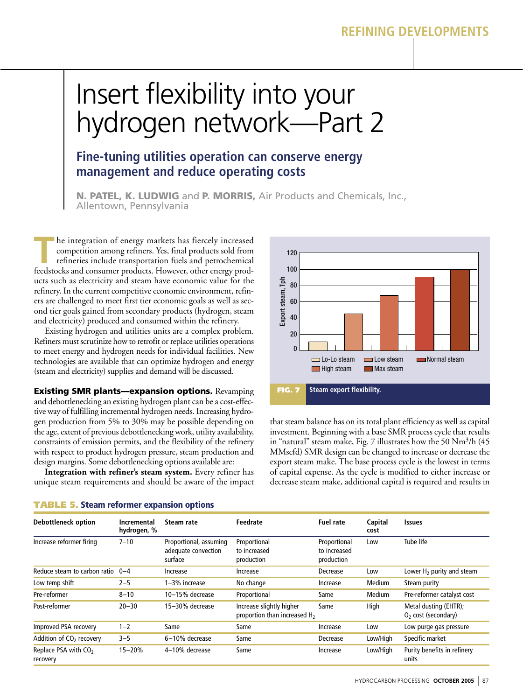## **REFINING DEVELOPMENTS**

# Insert flexibility into your hydrogen network—Part 2

## **Fine-tuning utilities operation can conserve energy management and reduce operating costs**

N. PATEL, K. LUDWIG and P. MORRIS, Air Products and Chemicals, Inc., Allentown, Pennsylvania

The integration of energy markets has fiercely increased<br>competition among refiners. Yes, final products sold from<br>refineries include transportation fuels and petrochemical<br>feedstocks and consumer products. However, other competition among refiners. Yes, final products sold from refineries include transportation fuels and petrochemical feedstocks and consumer products. However, other energy products such as electricity and steam have economic value for the refinery. In the current competitive economic environment, refiners are challenged to meet first tier economic goals as well as second tier goals gained from secondary products (hydrogen, steam and electricity) produced and consumed within the refinery.

Existing hydrogen and utilities units are a complex problem. Refiners must scrutinize how to retrofit or replace utilities operations to meet energy and hydrogen needs for individual facilities. New technologies are available that can optimize hydrogen and energy (steam and electricity) supplies and demand will be discussed.

Existing SMR plants—expansion options. Revamping and debottlenecking an existing hydrogen plant can be a cost-effective way of fulfilling incremental hydrogen needs. Increasing hydrogen production from 5% to 30% may be possible depending on the age, extent of previous debottlenecking work, utility availability, constraints of emission permits, and the flexibility of the refinery with respect to product hydrogen pressure, steam production and design margins. Some debottlenecking options available are:

**Integration with refiner's steam system.** Every refiner has unique steam requirements and should be aware of the impact



that steam balance has on its total plant efficiency as well as capital investment. Beginning with a base SMR process cycle that results in "natural" steam make, Fig. 7 illustrates how the 50  $Nm^3/h$  (45 MMscfd) SMR design can be changed to increase or decrease the export steam make. The base process cycle is the lowest in terms of capital expense. As the cycle is modified to either increase or decrease steam make, additional capital is required and results in

| <b>Debottleneck option</b>                   | Incremental<br>hydrogen, % | Steam rate                                               | Feedrate                                                             | Fuel rate                                  | Capital<br>cost | <b>Issues</b>                                  |
|----------------------------------------------|----------------------------|----------------------------------------------------------|----------------------------------------------------------------------|--------------------------------------------|-----------------|------------------------------------------------|
| Increase reformer firing                     | $7 - 10$                   | Proportional, assuming<br>adequate convection<br>surface | Proportional<br>to increased<br>production                           | Proportional<br>to increased<br>production | Low             | Tube life                                      |
| Reduce steam to carbon ratio                 | $0 - 4$                    | Increase                                                 | Increase                                                             | Decrease                                   | Low             | Lower $H_2$ purity and steam                   |
| Low temp shift                               | $2 - 5$                    | 1–3% increase                                            | No change                                                            | Increase                                   | Medium          | Steam purity                                   |
| Pre-reformer                                 | $8 - 10$                   | 10-15% decrease                                          | Proportional                                                         | Same                                       | Medium          | Pre-reformer catalyst cost                     |
| Post-reformer                                | $20 - 30$                  | 15-30% decrease                                          | Increase slightly higher<br>proportion than increased H <sub>2</sub> | Same                                       | High            | Metal dusting (EHTR);<br>$O2$ cost (secondary) |
| Improved PSA recovery                        | $1 - 2$                    | Same                                                     | Same                                                                 | Increase                                   | Low             | Low purge gas pressure                         |
| Addition of CO <sub>2</sub> recovery         | $3 - 5$                    | 6-10% decrease                                           | Same                                                                 | Decrease                                   | Low/High        | Specific market                                |
| Replace PSA with CO <sub>2</sub><br>recovery | $15 - 20%$                 | 4-10% decrease                                           | Same                                                                 | Increase                                   | Low/High        | Purity benefits in refinery<br>units           |

#### TABLE 5. Steam reformer expansion options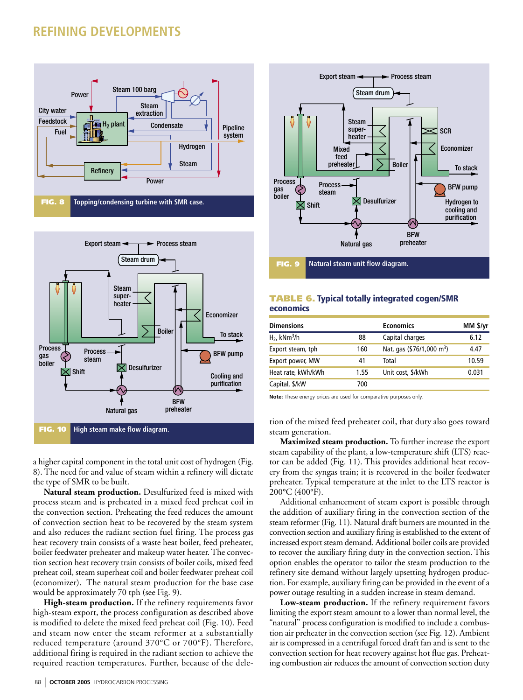## **REFINING DEVELOPMENTS**





a higher capital component in the total unit cost of hydrogen (Fig. 8). The need for and value of steam within a refinery will dictate the type of SMR to be built.

Natural steam production. Desulfurized feed is mixed with process steam and is preheated in a mixed feed preheat coil in the convection section. Preheating the feed reduces the amount of convection section heat to be recovered by the steam system and also reduces the radiant section fuel firing. The process gas heat recovery train consists of a waste heat boiler, feed preheater, boiler feedwater preheater and makeup water heater. The convection section heat recovery train consists of boiler coils, mixed feed preheat coil, steam superheat coil and boiler feedwater preheat coil (economizer). The natural steam production for the base case would be approximately 70 tph (see Fig. 9).

High-steam production. If the refinery requirements favor high-steam export, the process configuration as described above is modified to delete the mixed feed preheat coil (Fig. 10). Feed and steam now enter the steam reformer at a substantially reduced temperature (around 370°C or 700°F). Therefore, additional firing is required in the radiant section to achieve the required reaction temperatures. Further, because of the dele-



#### **TABLE 6. Typical totally integrated cogen/SMR** economics

| <b>Dimensions</b>          |      | <b>Economics</b>                      | MM \$/yr |
|----------------------------|------|---------------------------------------|----------|
| $H2$ , kNm <sup>3</sup> /h | 88   | Capital charges                       | 6.12     |
| Export steam, tph          | 160  | Nat. gas (\$76/1,000 m <sup>3</sup> ) | 4.47     |
| Export power, MW           | 41   | Total                                 | 10.59    |
| Heat rate, kWh/kWh         | 1.55 | Unit cost, \$/kWh                     | 0.031    |
| Capital, \$/kW             | 700  |                                       |          |
|                            |      |                                       |          |

Note: These energy prices are used for comparative purposes only

tion of the mixed feed preheater coil, that duty also goes toward steam generation.

Maximized steam production. To further increase the export steam capability of the plant, a low-temperature shift (LTS) reactor can be added (Fig. 11). This provides additional heat recovery from the syngas train; it is recovered in the boiler feedwater preheater. Typical temperature at the inlet to the LTS reactor is 200°C (400°F).

Additional enhancement of steam export is possible through the addition of auxiliary firing in the convection section of the steam reformer (Fig. 11). Natural draft burners are mounted in the convection section and auxiliary firing is established to the extent of increased export steam demand. Additional boiler coils are provided to recover the auxiliary firing duty in the convection section. This option enables the operator to tailor the steam production to the refinery site demand without largely upsetting hydrogen production. For example, auxiliary firing can be provided in the event of a power outage resulting in a sudden increase in steam demand.

Low-steam production. If the refinery requirement favors limiting the export steam amount to a lower than normal level, the "natural" process configuration is modified to include a combustion air preheater in the convection section (see Fig. 12). Ambient air is compressed in a centrifugal forced draft fan and is sent to the convection section for heat recovery against hot flue gas. Preheating combustion air reduces the amount of convection section duty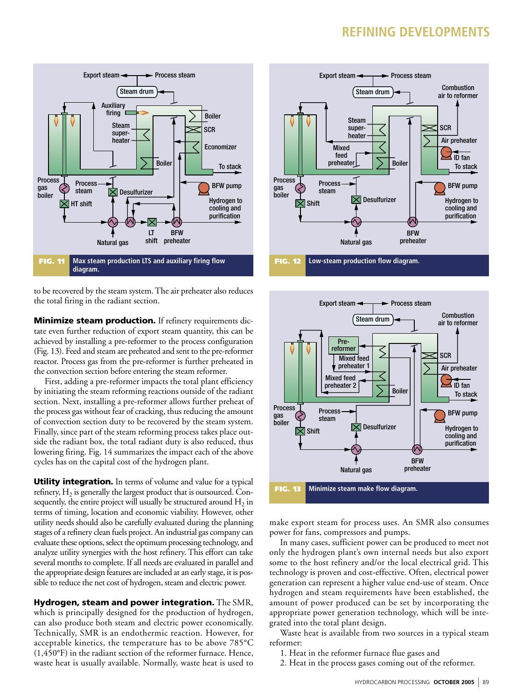## **REFINING DEVELOPMENTS**



to be recovered by the steam system. The air preheater also reduces the total firing in the radiant section.

Minimize steam production. If refinery requirements dictate even further reduction of export steam quantity, this can be achieved by installing a pre-reformer to the process configuration (Fig. 13). Feed and steam are preheated and sent to the pre-reformer reactor. Process gas from the pre-reformer is further preheated in the convection section before entering the steam reformer.

First, adding a pre-reformer impacts the total plant efficiency by initiating the steam reforming reactions outside of the radiant section. Next, installing a pre-reformer allows further preheat of the process gas without fear of cracking, thus reducing the amount of convection section duty to be recovered by the steam system. Finally, since part of the steam reforming process takes place outside the radiant box, the total radiant duty is also reduced, thus lowering firing. Fig. 14 summarizes the impact each of the above cycles has on the capital cost of the hydrogen plant.

**Utility integration.** In terms of volume and value for a typical refinery,  $H_2$  is generally the largest product that is outsourced. Consequently, the entire project will usually be structured around  $H_2$  in terms of timing, location and economic viability. However, other utility needs should also be carefully evaluated during the planning stages of a refinery clean fuels project. An industrial gas company can evaluate these options, select the optimum processing technology, and analyze utility synergies with the host refinery. This effort can take several months to complete. If all needs are evaluated in parallel and the appropriate design features are included at an early stage, it is possible to reduce the net cost of hydrogen, steam and electric power.

Hydrogen, steam and power integration. The SMR, which is principally designed for the production of hydrogen, can also produce both steam and electric power economically. Technically, SMR is an endothermic reaction. However, for acceptable kinetics, the temperature has to be above 785°C  $(1,450°F)$  in the radiant section of the reformer furnace. Hence, waste heat is usually available. Normally, waste heat is used to





make export steam for process uses. An SMR also consumes power for fans, compressors and pumps.

In many cases, sufficient power can be produced to meet not only the hydrogen plant's own internal needs but also export some to the host refinery and/or the local electrical grid. This technology is proven and cost-effective. Often, electrical power generation can represent a higher value end-use of steam. Once hydrogen and steam requirements have been established, the amount of power produced can be set by incorporating the appropriate power generation technology, which will be integrated into the total plant design.

Waste heat is available from two sources in a typical steam reformer:

- 1. Heat in the reformer furnace flue gases and
- 2. Heat in the process gases coming out of the reformer.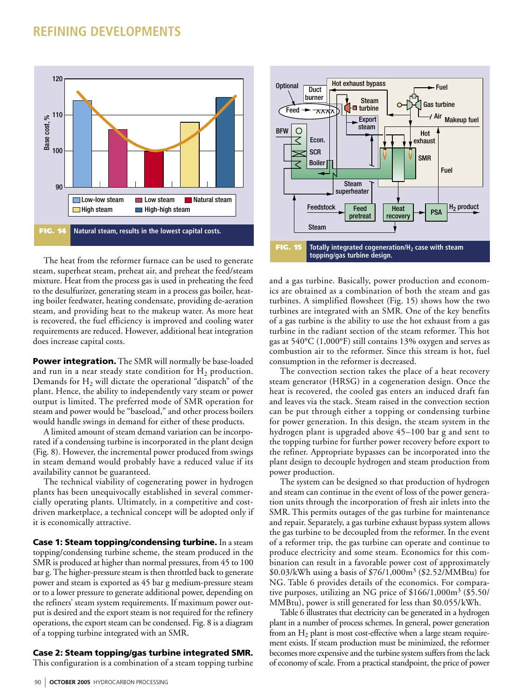

The heat from the reformer furnace can be used to generate steam, superheat steam, preheat air, and preheat the feed/steam mixture. Heat from the process gas is used in preheating the feed to the desulfurizer, generating steam in a process gas boiler, heating boiler feedwater, heating condensate, providing de-aeration steam, and providing heat to the makeup water. As more heat is recovered, the fuel efficiency is improved and cooling water requirements are reduced. However, additional heat integration does increase capital costs.

**Power integration.** The SMR will normally be base-loaded and run in a near steady state condition for  $H_2$  production. Demands for  $H_2$  will dictate the operational "dispatch" of the plant. Hence, the ability to independently vary steam or power output is limited. The preferred mode of SMR operation for steam and power would be "baseload," and other process boilers would handle swings in demand for either of these products.

A limited amount of steam demand variation can be incorporated if a condensing turbine is incorporated in the plant design (Fig. 8). However, the incremental power produced from swings in steam demand would probably have a reduced value if its availability cannot be guaranteed.

The technical viability of cogenerating power in hydrogen plants has been unequivocally established in several commercially operating plants. Ultimately, in a competitive and costdriven marketplace, a technical concept will be adopted only if it is economically attractive.

Case 1: Steam topping/condensing turbine. In a steam topping/condensing turbine scheme, the steam produced in the SMR is produced at higher than normal pressures, from 45 to 100 bar g. The higher-pressure steam is then throttled back to generate power and steam is exported as 45 bar g medium-pressure steam or to a lower pressure to generate additional power, depending on the refiners' steam system requirements. If maximum power output is desired and the export steam is not required for the refinery operations, the export steam can be condensed. Fig. 8 is a diagram of a topping turbine integrated with an SMR.

#### Case 2: Steam topping/gas turbine integrated SMR.

This configuration is a combination of a steam topping turbine



and a gas turbine. Basically, power production and economics are obtained as a combination of both the steam and gas turbines. A simplified flowsheet (Fig. 15) shows how the two turbines are integrated with an SMR. One of the key benefits of a gas turbine is the ability to use the hot exhaust from a gas turbine in the radiant section of the steam reformer. This hot gas at 540°C (1,000°F) still contains 13% oxygen and serves as combustion air to the reformer. Since this stream is hot, fuel consumption in the reformer is decreased.

The convection section takes the place of a heat recovery steam generator (HRSG) in a cogeneration design. Once the heat is recovered, the cooled gas enters an induced draft fan and leaves via the stack. Steam raised in the convection section can be put through either a topping or condensing turbine for power generation. In this design, the steam system in the hydrogen plant is upgraded above 45-100 bar g and sent to the topping turbine for further power recovery before export to the refiner. Appropriate bypasses can be incorporated into the plant design to decouple hydrogen and steam production from power production.

The system can be designed so that production of hydrogen and steam can continue in the event of loss of the power generation units through the incorporation of fresh air inlets into the SMR. This permits outages of the gas turbine for maintenance and repair. Separately, a gas turbine exhaust bypass system allows the gas turbine to be decoupled from the reformer. In the event of a reformer trip, the gas turbine can operate and continue to produce electricity and some steam. Economics for this combination can result in a favorable power cost of approximately \$0.03/kWh using a basis of \$76/1,000m<sup>3</sup> (\$2.52/MMBtu) for NG. Table 6 provides details of the economics. For comparative purposes, utilizing an NG price of \$166/1,000m<sup>3</sup> (\$5.50/ MMBtu), power is still generated for less than \$0.055/kWh.

Table 6 illustrates that electricity can be generated in a hydrogen plant in a number of process schemes. In general, power generation from an  $H_2$  plant is most cost-effective when a large steam requirement exists. If steam production must be minimized, the reformer becomes more expensive and the turbine system suffers from the lack of economy of scale. From a practical standpoint, the price of power